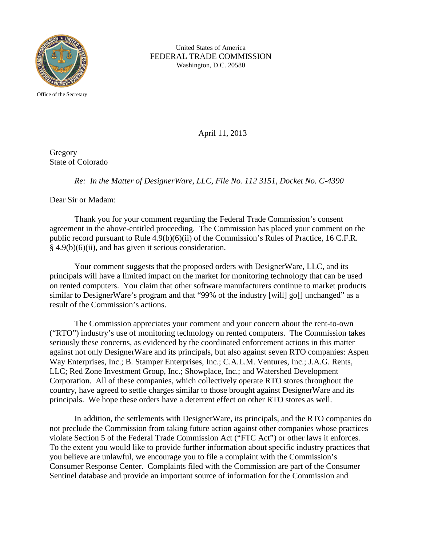

United States of America FEDERAL TRADE COMMISSION Washington, D.C. 20580

Office of the Secretary

April 11, 2013

Gregory State of Colorado

*Re: In the Matter of DesignerWare, LLC, File No. 112 3151, Docket No. C-4390*

Dear Sir or Madam:

Thank you for your comment regarding the Federal Trade Commission's consent agreement in the above-entitled proceeding. The Commission has placed your comment on the public record pursuant to Rule 4.9(b)(6)(ii) of the Commission's Rules of Practice, 16 C.F.R. § 4.9(b)(6)(ii), and has given it serious consideration.

Your comment suggests that the proposed orders with DesignerWare, LLC, and its principals will have a limited impact on the market for monitoring technology that can be used on rented computers. You claim that other software manufacturers continue to market products similar to DesignerWare's program and that "99% of the industry [will] go[] unchanged" as a result of the Commission's actions.

The Commission appreciates your comment and your concern about the rent-to-own ("RTO") industry's use of monitoring technology on rented computers. The Commission takes seriously these concerns, as evidenced by the coordinated enforcement actions in this matter against not only DesignerWare and its principals, but also against seven RTO companies: Aspen Way Enterprises, Inc.; B. Stamper Enterprises, Inc.; C.A.L.M. Ventures, Inc.; J.A.G. Rents, LLC; Red Zone Investment Group, Inc.; Showplace, Inc.; and Watershed Development Corporation. All of these companies, which collectively operate RTO stores throughout the country, have agreed to settle charges similar to those brought against DesignerWare and its principals. We hope these orders have a deterrent effect on other RTO stores as well.

In addition, the settlements with DesignerWare, its principals, and the RTO companies do not preclude the Commission from taking future action against other companies whose practices violate Section 5 of the Federal Trade Commission Act ("FTC Act") or other laws it enforces. To the extent you would like to provide further information about specific industry practices that you believe are unlawful, we encourage you to file a complaint with the Commission's Consumer Response Center. Complaints filed with the Commission are part of the Consumer Sentinel database and provide an important source of information for the Commission and